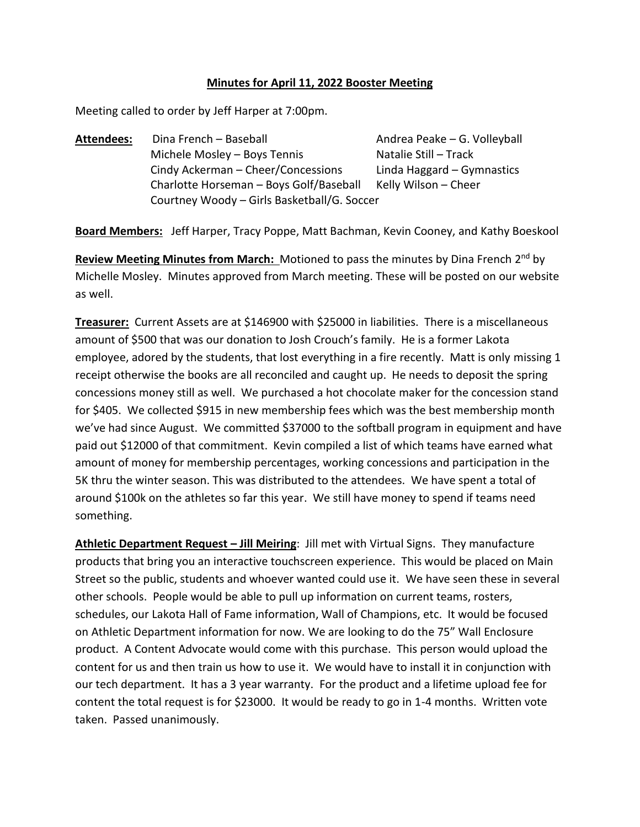### **Minutes for April 11, 2022 Booster Meeting**

Meeting called to order by Jeff Harper at 7:00pm.

Attendees: Dina French – Baseball **Andrea Peake – G. Volleyball** Michele Mosley – Boys Tennis Natalie Still – Track Cindy Ackerman – Cheer/Concessions Linda Haggard – Gymnastics Charlotte Horseman – Boys Golf/Baseball Kelly Wilson – Cheer Courtney Woody – Girls Basketball/G. Soccer

**Board Members:** Jeff Harper, Tracy Poppe, Matt Bachman, Kevin Cooney, and Kathy Boeskool

Review Meeting Minutes from March: Motioned to pass the minutes by Dina French 2<sup>nd</sup> by Michelle Mosley. Minutes approved from March meeting. These will be posted on our website as well.

**Treasurer:** Current Assets are at \$146900 with \$25000 in liabilities. There is a miscellaneous amount of \$500 that was our donation to Josh Crouch's family. He is a former Lakota employee, adored by the students, that lost everything in a fire recently. Matt is only missing 1 receipt otherwise the books are all reconciled and caught up. He needs to deposit the spring concessions money still as well. We purchased a hot chocolate maker for the concession stand for \$405. We collected \$915 in new membership fees which was the best membership month we've had since August. We committed \$37000 to the softball program in equipment and have paid out \$12000 of that commitment. Kevin compiled a list of which teams have earned what amount of money for membership percentages, working concessions and participation in the 5K thru the winter season. This was distributed to the attendees. We have spent a total of around \$100k on the athletes so far this year. We still have money to spend if teams need something.

**Athletic Department Request – Jill Meiring**: Jill met with Virtual Signs. They manufacture products that bring you an interactive touchscreen experience. This would be placed on Main Street so the public, students and whoever wanted could use it. We have seen these in several other schools. People would be able to pull up information on current teams, rosters, schedules, our Lakota Hall of Fame information, Wall of Champions, etc. It would be focused on Athletic Department information for now. We are looking to do the 75" Wall Enclosure product. A Content Advocate would come with this purchase. This person would upload the content for us and then train us how to use it. We would have to install it in conjunction with our tech department. It has a 3 year warranty. For the product and a lifetime upload fee for content the total request is for \$23000. It would be ready to go in 1-4 months. Written vote taken. Passed unanimously.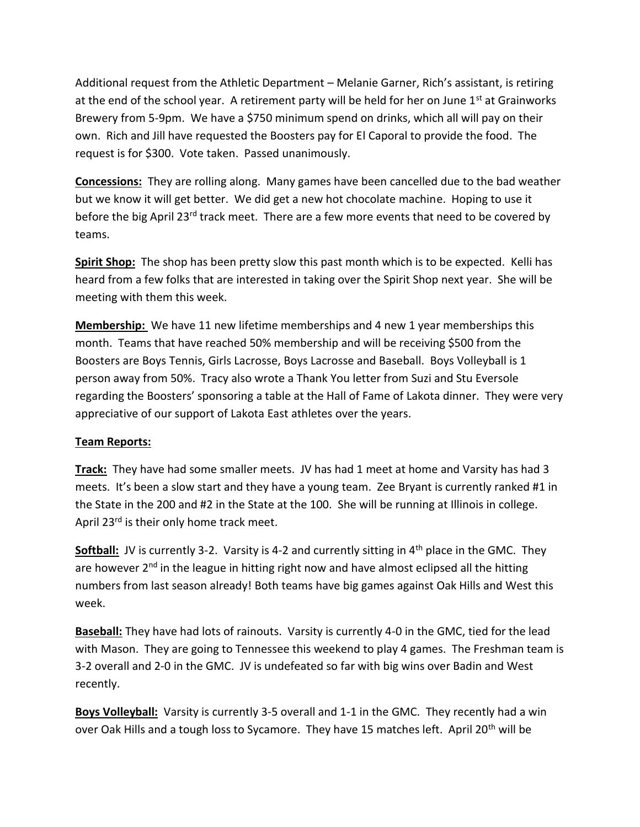Additional request from the Athletic Department – Melanie Garner, Rich's assistant, is retiring at the end of the school year. A retirement party will be held for her on June 1<sup>st</sup> at Grainworks Brewery from 5-9pm. We have a \$750 minimum spend on drinks, which all will pay on their own. Rich and Jill have requested the Boosters pay for El Caporal to provide the food. The request is for \$300. Vote taken. Passed unanimously.

**Concessions:** They are rolling along. Many games have been cancelled due to the bad weather but we know it will get better. We did get a new hot chocolate machine. Hoping to use it before the big April 23<sup>rd</sup> track meet. There are a few more events that need to be covered by teams.

**Spirit Shop:** The shop has been pretty slow this past month which is to be expected. Kelli has heard from a few folks that are interested in taking over the Spirit Shop next year. She will be meeting with them this week.

**Membership:** We have 11 new lifetime memberships and 4 new 1 year memberships this month. Teams that have reached 50% membership and will be receiving \$500 from the Boosters are Boys Tennis, Girls Lacrosse, Boys Lacrosse and Baseball. Boys Volleyball is 1 person away from 50%. Tracy also wrote a Thank You letter from Suzi and Stu Eversole regarding the Boosters' sponsoring a table at the Hall of Fame of Lakota dinner. They were very appreciative of our support of Lakota East athletes over the years.

### **Team Reports:**

**Track:** They have had some smaller meets. JV has had 1 meet at home and Varsity has had 3 meets. It's been a slow start and they have a young team. Zee Bryant is currently ranked #1 in the State in the 200 and #2 in the State at the 100. She will be running at Illinois in college. April 23<sup>rd</sup> is their only home track meet.

**Softball:** JV is currently 3-2. Varsity is 4-2 and currently sitting in 4<sup>th</sup> place in the GMC. They are however  $2<sup>nd</sup>$  in the league in hitting right now and have almost eclipsed all the hitting numbers from last season already! Both teams have big games against Oak Hills and West this week.

**Baseball:** They have had lots of rainouts. Varsity is currently 4-0 in the GMC, tied for the lead with Mason. They are going to Tennessee this weekend to play 4 games. The Freshman team is 3-2 overall and 2-0 in the GMC. JV is undefeated so far with big wins over Badin and West recently.

**Boys Volleyball:** Varsity is currently 3-5 overall and 1-1 in the GMC. They recently had a win over Oak Hills and a tough loss to Sycamore. They have 15 matches left. April 20<sup>th</sup> will be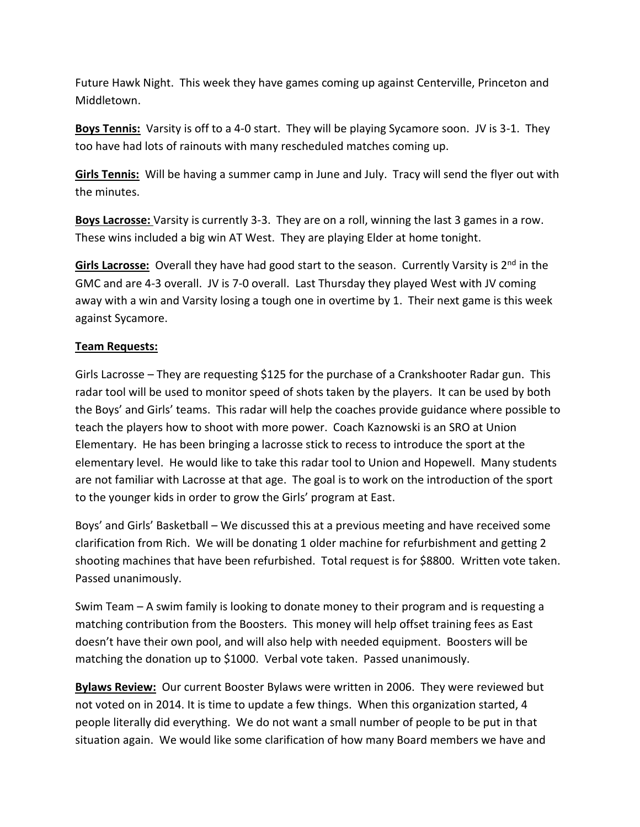Future Hawk Night. This week they have games coming up against Centerville, Princeton and Middletown.

**Boys Tennis:** Varsity is off to a 4-0 start. They will be playing Sycamore soon. JV is 3-1. They too have had lots of rainouts with many rescheduled matches coming up.

**Girls Tennis:** Will be having a summer camp in June and July. Tracy will send the flyer out with the minutes.

**Boys Lacrosse:** Varsity is currently 3-3. They are on a roll, winning the last 3 games in a row. These wins included a big win AT West. They are playing Elder at home tonight.

Girls Lacrosse: Overall they have had good start to the season. Currently Varsity is 2<sup>nd</sup> in the GMC and are 4-3 overall. JV is 7-0 overall. Last Thursday they played West with JV coming away with a win and Varsity losing a tough one in overtime by 1. Their next game is this week against Sycamore.

### **Team Requests:**

Girls Lacrosse – They are requesting \$125 for the purchase of a Crankshooter Radar gun. This radar tool will be used to monitor speed of shots taken by the players. It can be used by both the Boys' and Girls' teams. This radar will help the coaches provide guidance where possible to teach the players how to shoot with more power. Coach Kaznowski is an SRO at Union Elementary. He has been bringing a lacrosse stick to recess to introduce the sport at the elementary level. He would like to take this radar tool to Union and Hopewell. Many students are not familiar with Lacrosse at that age. The goal is to work on the introduction of the sport to the younger kids in order to grow the Girls' program at East.

Boys' and Girls' Basketball – We discussed this at a previous meeting and have received some clarification from Rich. We will be donating 1 older machine for refurbishment and getting 2 shooting machines that have been refurbished. Total request is for \$8800. Written vote taken. Passed unanimously.

Swim Team – A swim family is looking to donate money to their program and is requesting a matching contribution from the Boosters. This money will help offset training fees as East doesn't have their own pool, and will also help with needed equipment. Boosters will be matching the donation up to \$1000. Verbal vote taken. Passed unanimously.

**Bylaws Review:** Our current Booster Bylaws were written in 2006. They were reviewed but not voted on in 2014. It is time to update a few things. When this organization started, 4 people literally did everything. We do not want a small number of people to be put in that situation again. We would like some clarification of how many Board members we have and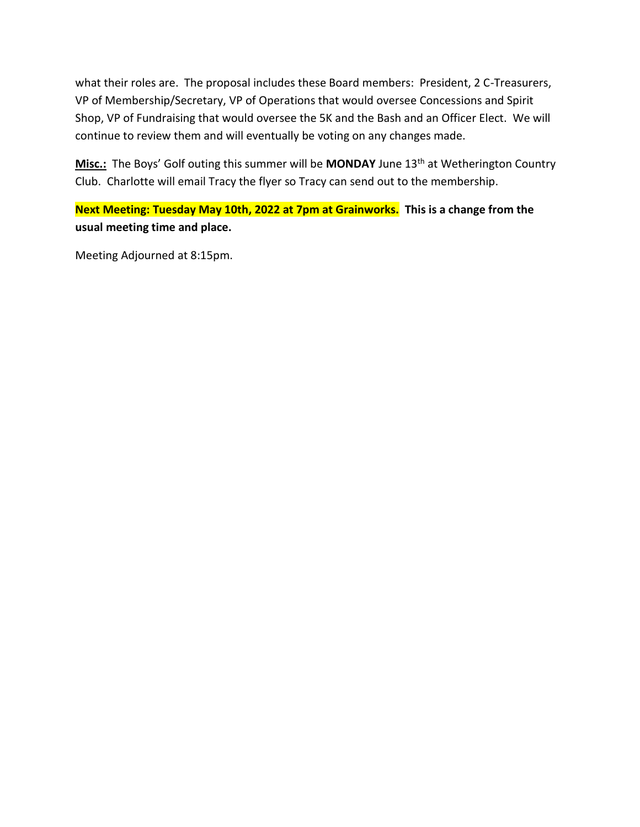what their roles are. The proposal includes these Board members: President, 2 C-Treasurers, VP of Membership/Secretary, VP of Operations that would oversee Concessions and Spirit Shop, VP of Fundraising that would oversee the 5K and the Bash and an Officer Elect. We will continue to review them and will eventually be voting on any changes made.

Misc.: The Boys' Golf outing this summer will be MONDAY June 13<sup>th</sup> at Wetherington Country Club. Charlotte will email Tracy the flyer so Tracy can send out to the membership.

**Next Meeting: Tuesday May 10th, 2022 at 7pm at Grainworks. This is a change from the usual meeting time and place.** 

Meeting Adjourned at 8:15pm.